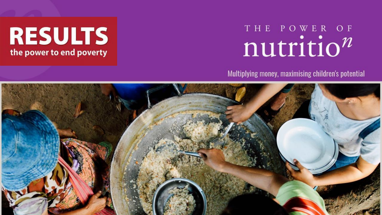# THE POWER OF nutrition

### Multiplying money, maximising children's potential



**RESULTS** 

the power to end poverty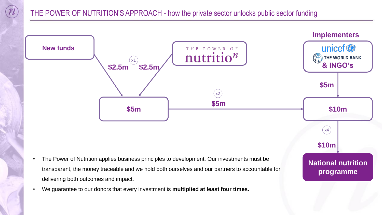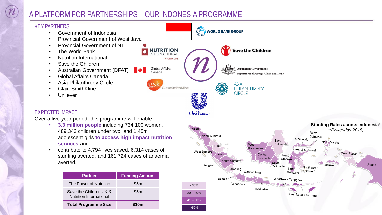## A PLATFORM FOR PARTNERSHIPS – OUR INDONESIA PROGRAMME

#### KEY PARTNERS WORLD BANK GROUP • Government of Indonesia • Provincial Government of West Java • Provincial Government of NTT **NUTRITION Save the Children** • The World Bank • Nutrition International **Nourish Life** • Save the Children **Global Affairs Australian Government** • Australian Government (DFAT) Canada **Department of Foreign Affairs and Trade** • Global Affairs Canada • Asia Philanthropy Circle **ASIA** GlaxoSmithKline **PHILANTHROPY** • GlaxoSmithKline **CIRCLE Unilever** EXPECTED IMPACT Unilever Over a five-year period, this programme will enable: • **3.3 million people** including 734,100 women, Aceh 489,343 children under two, and 1.45m North Sumatra adolescent girls **to access high impact nutrition**  East **services** and Kalimantan West Kalimantan • contribute to 4,794 lives saved, 6,314 cases of West Sumatra Central stunting averted, and 161,724 cases of anaemia West Sulaw South Sumatra averted.Bengkulu Lampung Central Java

<30%  $30 - 40%$  $141 - 50\%$ >50%

Bante

WestJava

East Java

**Stunting Rates across Indonesia**\* *\*(Riskesdas 2018)*

West Papua

Papua

North

Gorontalo

South

West Nusa Tenggara

Sulawesi

Central Sulawesi

South East

Sulawesi

East Nusa Tenggara

Sulawesi

North Maluku

Maluki

| <b>Partner</b>                                           | <b>Funding Amount</b> |
|----------------------------------------------------------|-----------------------|
| The Power of Nutrition                                   | \$5m                  |
| Save the Children UK &<br><b>Nutrition International</b> | \$5m                  |
| <b>Total Programme Size</b>                              | \$10m                 |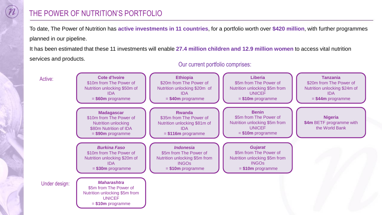# THE POWER OF NUTRITION'S PORTFOLIO

To date, The Power of Nutrition has **active investments in 11 countries**, for a portfolio worth over **\$420 million**, with further programmes planned in our pipeline.

It has been estimated that these 11 investments will enable **27.4 million children and 12.9 million women** to access vital nutrition services and products.



Our current portfolio comprises: